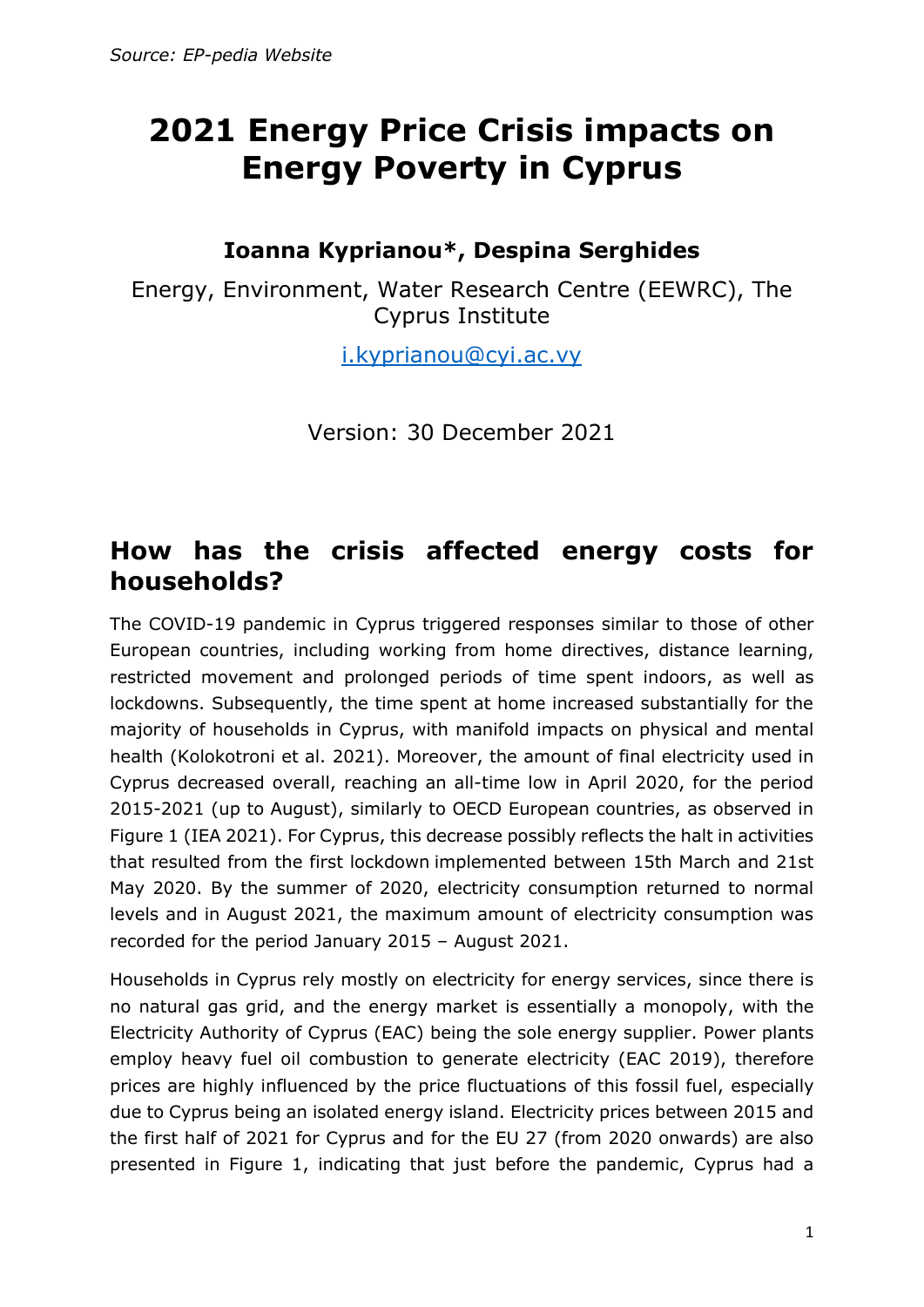# **2021 Energy Price Crisis impacts on Energy Poverty in Cyprus**

#### **Ioanna Kyprianou\*, Despina Serghides**

Energy, Environment, Water Research Centre (EEWRC), The Cyprus Institute

[i.kyprianou@cyi.ac.vy](mailto:i.kyprianou@cyi.ac.vy)

Version: 30 December 2021

#### **How has the crisis affected energy costs for households?**

The COVID-19 pandemic in Cyprus triggered responses similar to those of other European countries, including working from home directives, distance learning, restricted movement and prolonged periods of time spent indoors, as well as lockdowns. Subsequently, the time spent at home increased substantially for the majority of households in Cyprus, with manifold impacts on physical and mental health (Kolokotroni et al. 2021). Moreover, the amount of final electricity used in Cyprus decreased overall, reaching an all-time low in April 2020, for the period 2015-2021 (up to August), similarly to OECD European countries, as observed in Figure 1 (IEA 2021). For Cyprus, this decrease possibly reflects the halt in activities that resulted from the first lockdown implemented between 15th March and 21st May 2020. By the summer of 2020, electricity consumption returned to normal levels and in August 2021, the maximum amount of electricity consumption was recorded for the period January 2015 – August 2021.

Households in Cyprus rely mostly on electricity for energy services, since there is no natural gas grid, and the energy market is essentially a monopoly, with the Electricity Authority of Cyprus (EAC) being the sole energy supplier. Power plants employ heavy fuel oil combustion to generate electricity (EAC 2019), therefore prices are highly influenced by the price fluctuations of this fossil fuel, especially due to Cyprus being an isolated energy island. Electricity prices between 2015 and the first half of 2021 for Cyprus and for the EU 27 (from 2020 onwards) are also presented in Figure 1, indicating that just before the pandemic, Cyprus had a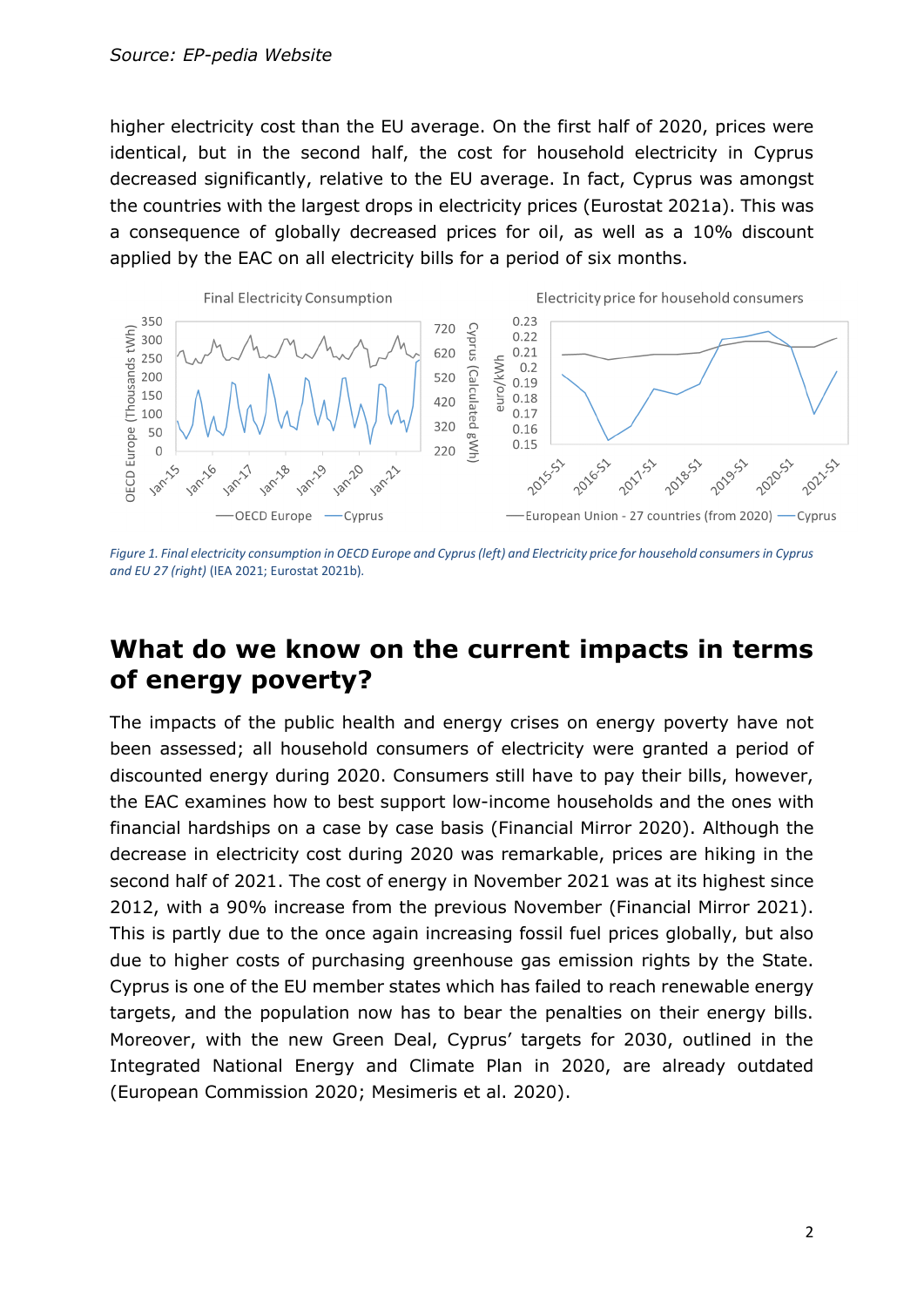higher electricity cost than the EU average. On the first half of 2020, prices were identical, but in the second half, the cost for household electricity in Cyprus decreased significantly, relative to the EU average. In fact, Cyprus was amongst the countries with the largest drops in electricity prices (Eurostat 2021a). This was a consequence of globally decreased prices for oil, as well as a 10% discount applied by the EAC on all electricity bills for a period of six months.



*Figure 1. Final electricity consumption in OECD Europe and Cyprus (left) and Electricity price for household consumers in Cyprus and EU 27 (right)* (IEA 2021; Eurostat 2021b)*.*

#### **What do we know on the current impacts in terms of energy poverty?**

The impacts of the public health and energy crises on energy poverty have not been assessed; all household consumers of electricity were granted a period of discounted energy during 2020. Consumers still have to pay their bills, however, the EAC examines how to best support low-income households and the ones with financial hardships on a case by case basis (Financial Mirror 2020). Although the decrease in electricity cost during 2020 was remarkable, prices are hiking in the second half of 2021. The cost of energy in November 2021 was at its highest since 2012, with a 90% increase from the previous November (Financial Mirror 2021). This is partly due to the once again increasing fossil fuel prices globally, but also due to higher costs of purchasing greenhouse gas emission rights by the State. Cyprus is one of the EU member states which has failed to reach renewable energy targets, and the population now has to bear the penalties on their energy bills. Moreover, with the new Green Deal, Cyprus' targets for 2030, outlined in the Integrated National Energy and Climate Plan in 2020, are already outdated (European Commission 2020; Mesimeris et al. 2020).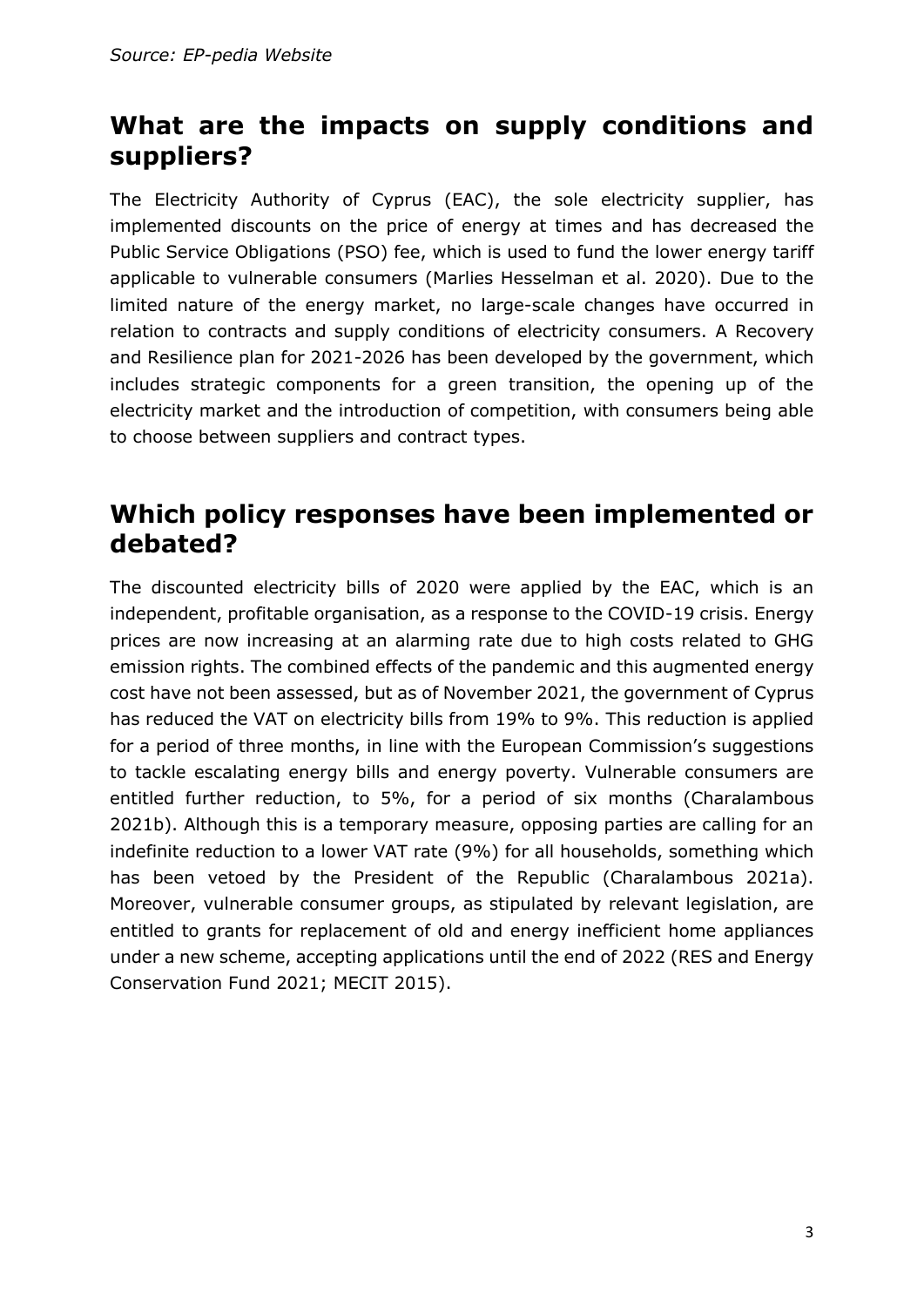### **What are the impacts on supply conditions and suppliers?**

The Electricity Authority of Cyprus (EAC), the sole electricity supplier, has implemented discounts on the price of energy at times and has decreased the Public Service Obligations (PSO) fee, which is used to fund the lower energy tariff applicable to vulnerable consumers (Marlies Hesselman et al. 2020). Due to the limited nature of the energy market, no large-scale changes have occurred in relation to contracts and supply conditions of electricity consumers. A Recovery and Resilience plan for 2021-2026 has been developed by the government, which includes strategic components for a green transition, the opening up of the electricity market and the introduction of competition, with consumers being able to choose between suppliers and contract types.

#### **Which policy responses have been implemented or debated?**

The discounted electricity bills of 2020 were applied by the EAC, which is an independent, profitable organisation, as a response to the COVID-19 crisis. Energy prices are now increasing at an alarming rate due to high costs related to GHG emission rights. The combined effects of the pandemic and this augmented energy cost have not been assessed, but as of November 2021, the government of Cyprus has reduced the VAT on electricity bills from 19% to 9%. This reduction is applied for a period of three months, in line with the European Commission's suggestions to tackle escalating energy bills and energy poverty. Vulnerable consumers are entitled further reduction, to 5%, for a period of six months (Charalambous 2021b). Although this is a temporary measure, opposing parties are calling for an indefinite reduction to a lower VAT rate (9%) for all households, something which has been vetoed by the President of the Republic (Charalambous 2021a). Moreover, vulnerable consumer groups, as stipulated by relevant legislation, are entitled to grants for replacement of old and energy inefficient home appliances under a new scheme, accepting applications until the end of 2022 (RES and Energy Conservation Fund 2021; MECIT 2015).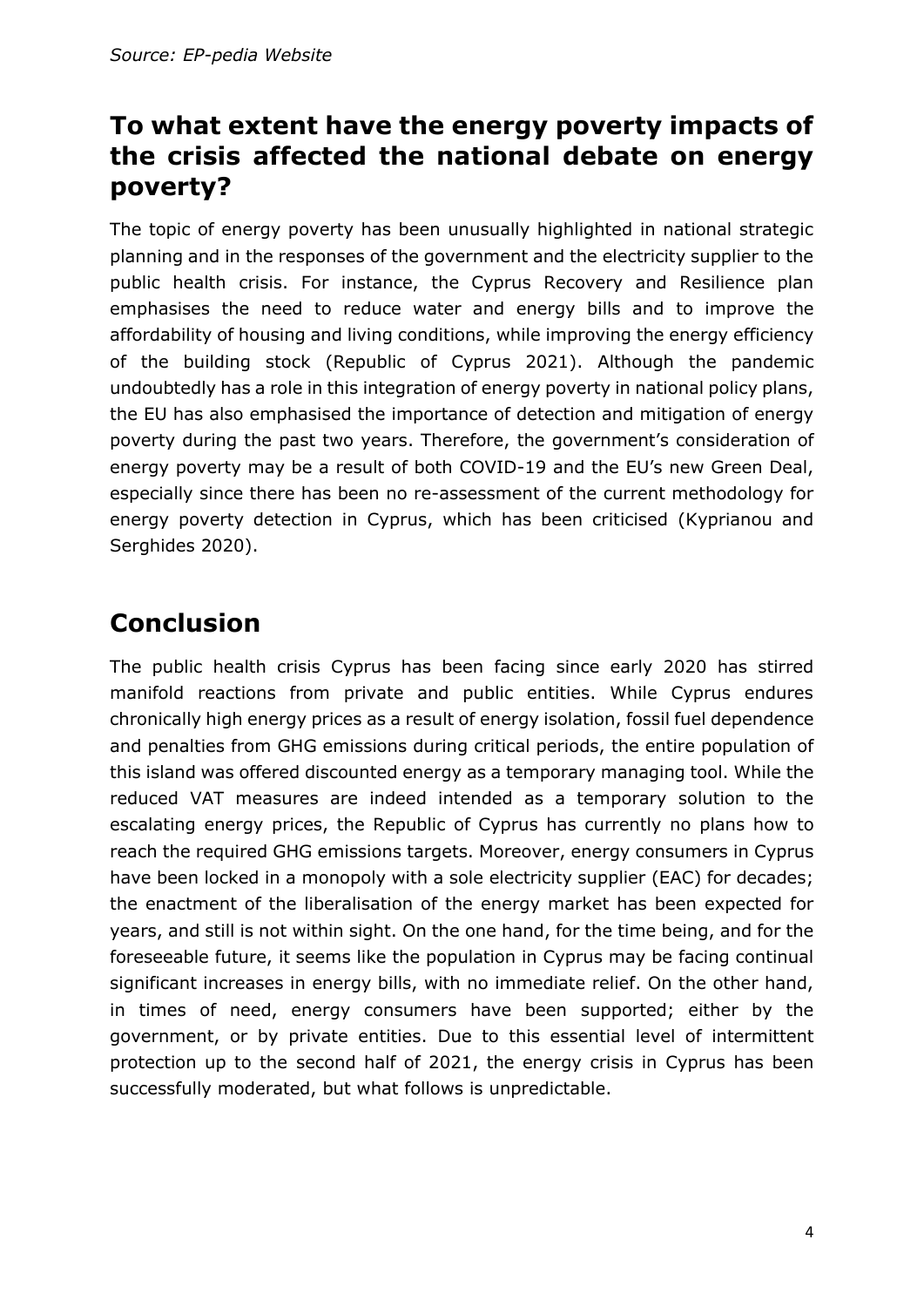### **To what extent have the energy poverty impacts of the crisis affected the national debate on energy poverty?**

The topic of energy poverty has been unusually highlighted in national strategic planning and in the responses of the government and the electricity supplier to the public health crisis. For instance, the Cyprus Recovery and Resilience plan emphasises the need to reduce water and energy bills and to improve the affordability of housing and living conditions, while improving the energy efficiency of the building stock (Republic of Cyprus 2021). Although the pandemic undoubtedly has a role in this integration of energy poverty in national policy plans, the EU has also emphasised the importance of detection and mitigation of energy poverty during the past two years. Therefore, the government's consideration of energy poverty may be a result of both COVID-19 and the EU's new Green Deal, especially since there has been no re-assessment of the current methodology for energy poverty detection in Cyprus, which has been criticised (Kyprianou and Serghides 2020).

## **Conclusion**

The public health crisis Cyprus has been facing since early 2020 has stirred manifold reactions from private and public entities. While Cyprus endures chronically high energy prices as a result of energy isolation, fossil fuel dependence and penalties from GHG emissions during critical periods, the entire population of this island was offered discounted energy as a temporary managing tool. While the reduced VAT measures are indeed intended as a temporary solution to the escalating energy prices, the Republic of Cyprus has currently no plans how to reach the required GHG emissions targets. Moreover, energy consumers in Cyprus have been locked in a monopoly with a sole electricity supplier (EAC) for decades; the enactment of the liberalisation of the energy market has been expected for years, and still is not within sight. On the one hand, for the time being, and for the foreseeable future, it seems like the population in Cyprus may be facing continual significant increases in energy bills, with no immediate relief. On the other hand, in times of need, energy consumers have been supported; either by the government, or by private entities. Due to this essential level of intermittent protection up to the second half of 2021, the energy crisis in Cyprus has been successfully moderated, but what follows is unpredictable.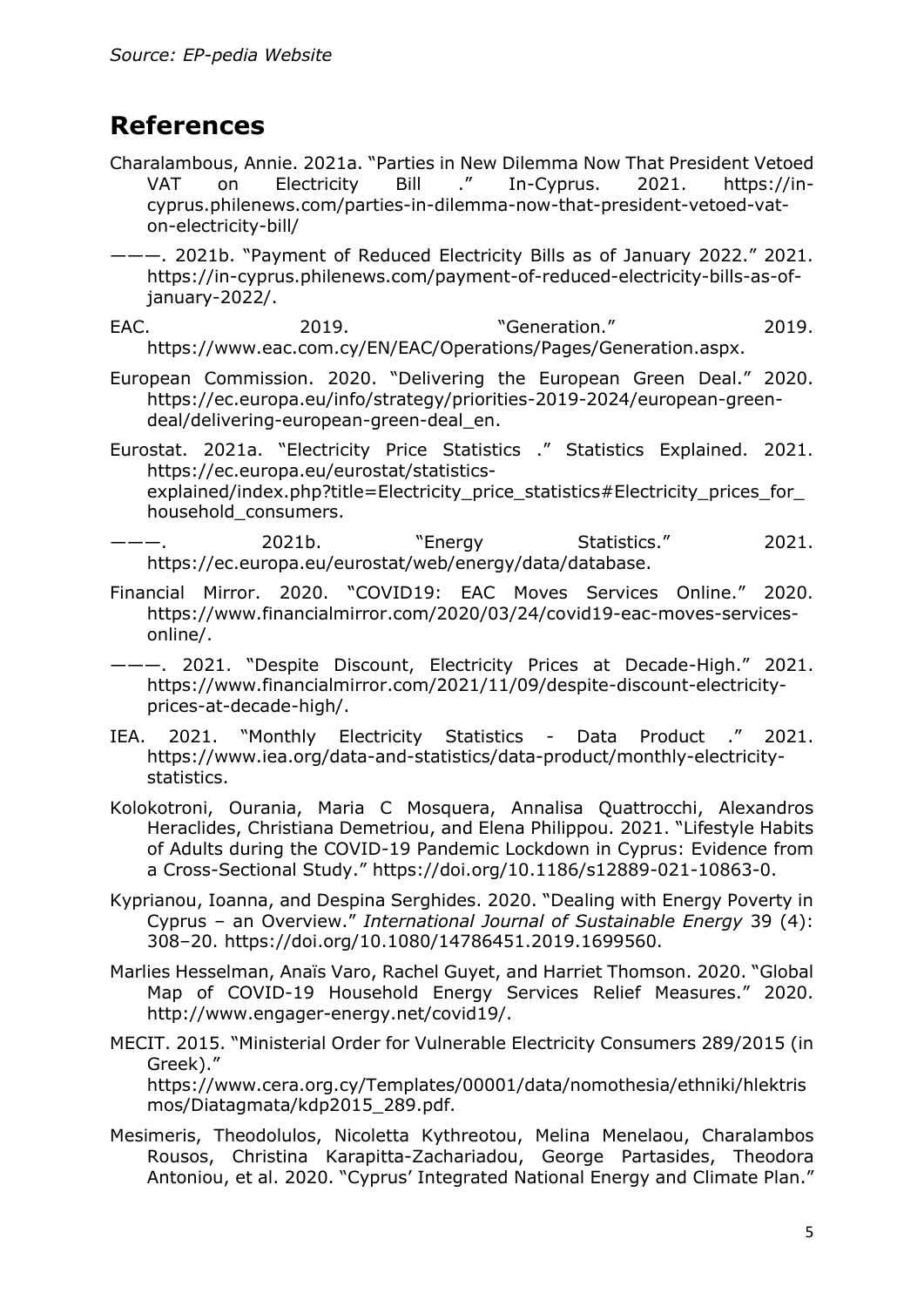#### **References**

Charalambous, Annie. 2021a. "Parties in New Dilemma Now That President Vetoed VAT on Electricity Bill ." In-Cyprus. 2021. https://incyprus.philenews.com/parties-in-dilemma-now-that-president-vetoed-vaton-electricity-bill/

———. 2021b. "Payment of Reduced Electricity Bills as of January 2022." 2021. https://in-cyprus.philenews.com/payment-of-reduced-electricity-bills-as-ofjanuary-2022/.

EAC. 2019. "Generation." 2019. https://www.eac.com.cy/EN/EAC/Operations/Pages/Generation.aspx.

European Commission. 2020. "Delivering the European Green Deal." 2020. https://ec.europa.eu/info/strategy/priorities-2019-2024/european-greendeal/delivering-european-green-deal\_en.

- Eurostat. 2021a. "Electricity Price Statistics ." Statistics Explained. 2021. https://ec.europa.eu/eurostat/statisticsexplained/index.php?title=Electricity\_price\_statistics#Electricity\_prices\_for household\_consumers.
- ———. 2021b. "Energy Statistics." 2021. https://ec.europa.eu/eurostat/web/energy/data/database.
- Financial Mirror. 2020. "COVID19: EAC Moves Services Online." 2020. https://www.financialmirror.com/2020/03/24/covid19-eac-moves-servicesonline/.

———. 2021. "Despite Discount, Electricity Prices at Decade-High." 2021. https://www.financialmirror.com/2021/11/09/despite-discount-electricityprices-at-decade-high/.

- IEA. 2021. "Monthly Electricity Statistics Data Product ." 2021. https://www.iea.org/data-and-statistics/data-product/monthly-electricitystatistics.
- Kolokotroni, Ourania, Maria C Mosquera, Annalisa Quattrocchi, Alexandros Heraclides, Christiana Demetriou, and Elena Philippou. 2021. "Lifestyle Habits of Adults during the COVID-19 Pandemic Lockdown in Cyprus: Evidence from a Cross-Sectional Study." https://doi.org/10.1186/s12889-021-10863-0.
- Kyprianou, Ioanna, and Despina Serghides. 2020. "Dealing with Energy Poverty in Cyprus – an Overview." *International Journal of Sustainable Energy* 39 (4): 308–20. https://doi.org/10.1080/14786451.2019.1699560.
- Marlies Hesselman, Anaïs Varo, Rachel Guyet, and Harriet Thomson. 2020. "Global Map of COVID-19 Household Energy Services Relief Measures." 2020. http://www.engager-energy.net/covid19/.
- MECIT. 2015. "Ministerial Order for Vulnerable Electricity Consumers 289/2015 (in Greek)." https://www.cera.org.cy/Templates/00001/data/nomothesia/ethniki/hlektris mos/Diatagmata/kdp2015\_289.pdf.
- Mesimeris, Theodolulos, Nicoletta Kythreotou, Melina Menelaou, Charalambos Rousos, Christina Karapitta-Zachariadou, George Partasides, Theodora Antoniou, et al. 2020. "Cyprus' Integrated National Energy and Climate Plan."